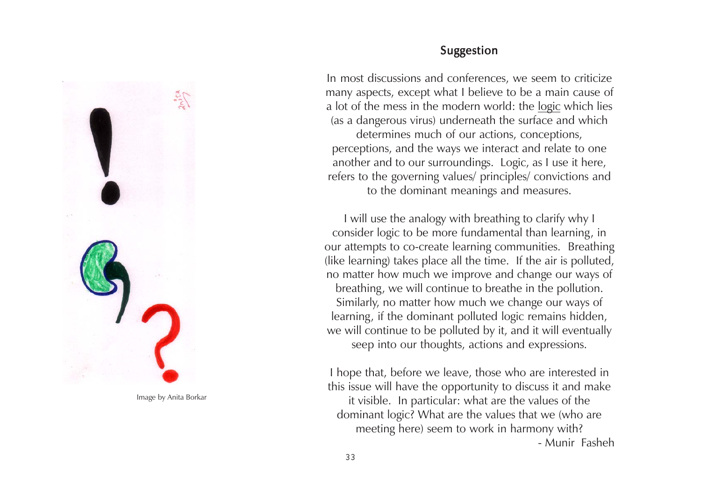

Image by Anita Borkar

### Suggestion

In most discussions and conferences, we seem to criticize many aspects, except what I believe to be a main cause of a lot of the mess in the modern world: the logic which lies (as a dangerous virus) underneath the surface and which determines much of our actions, conceptions, perceptions, and the ways we interact and relate to one another and to our surroundings. Logic, as I use it here, refers to the governing values/ principles/ convictions and to the dominant meanings and measures.

I will use the analogy with breathing to clarify why I consider logic to be more fundamental than learning, in our attempts to co-create learning communities. Breathing (like learning) takes place all the time. If the air is polluted, no matter how much we improve and change our ways of breathing, we will continue to breathe in the pollution. Similarly, no matter how much we change our ways of learning, if the dominant polluted logic remains hidden, we will continue to be polluted by it, and it will eventually seep into our thoughts, actions and expressions.

I hope that, before we leave, those who are interested in this issue will have the opportunity to discuss it and make it visible. In particular: what are the values of the dominant logic? What are the values that we (who are meeting here) seem to work in harmony with? - Munir Fasheh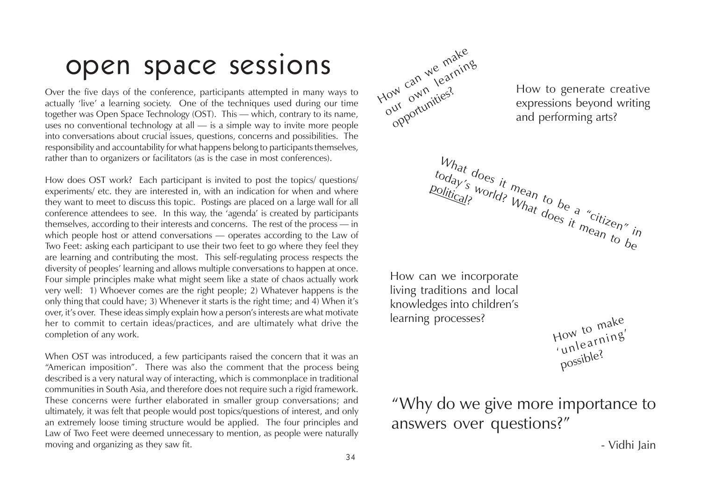# open space sessions

Over the five days of the conference, participants attempted in many ways to actually 'live' a learning society. One of the techniques used during our time together was Open Space Technology (OST). This — which, contrary to its name, uses no conventional technology at all — is a simple way to invite more people into conversations about crucial issues, questions, concerns and possibilities. The responsibility and accountability for what happens belong to participants themselves, rather than to organizers or facilitators (as is the case in most conferences).

How does OST work? Each participant is invited to post the topics/ questions/ experiments/ etc. they are interested in, with an indication for when and where they want to meet to discuss this topic. Postings are placed on a large wall for all conference attendees to see. In this way, the 'agenda' is created by participants themselves, according to their interests and concerns. The rest of the process — in which people host or attend conversations — operates according to the Law of Two Feet: asking each participant to use their two feet to go where they feel they are learning and contributing the most. This self-regulating process respects the diversity of peoples' learning and allows multiple conversations to happen at once. Four simple principles make what might seem like a state of chaos actually work very well: 1) Whoever comes are the right people; 2) Whatever happens is the only thing that could have; 3) Whenever it starts is the right time; and 4) When it's over, it's over. These ideas simply explain how a person's interests are what motivate her to commit to certain ideas/practices, and are ultimately what drive the completion of any work.

When OST was introduced, a few participants raised the concern that it was an "American imposition". There was also the comment that the process being described is a very natural way of interacting, which is commonplace in traditional communities in South Asia, and therefore does not require such a rigid framework. These concerns were further elaborated in smaller group conversations; and ultimately, it was felt that people would post topics/questions of interest, and only an extremely loose timing structure would be applied. The four principles and Law of Two Feet were deemed unnecessary to mention, as people were naturally moving and organizing as they saw fit.



How to generate creative expressions beyond writing and performing arts?

How can we incorporate living traditions and local knowledges into children's learning processes?

political?

How to make 'unlearning' possible?

"Why do we give more importance to answers over questions?"

 $W_{hat}$  does it mean to be a "citizen" in  $\frac{t_{\rm{O}}d_{\rm{a}}y_{\rm{S}}'}{t_{\rm{O}}d_{\rm{S}}}$  it mean to be a "citizen" is world? What does it mean to be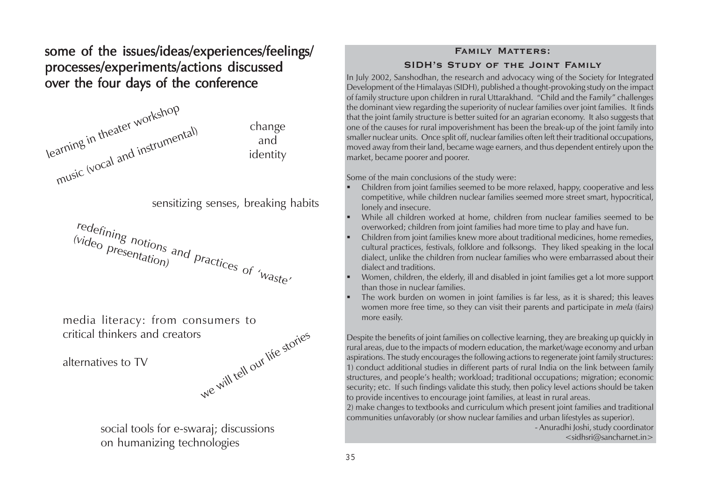some of the issues/ideas/experiences/feelings/ processes/experiments/actions discussed over the four days of the conference



sensitizing senses, breaking habits



we will tell our life stories media literacy: from consumers to critical thinkers and creators

alternatives to TV

social tools for e-swaraj; discussions on humanizing technologies

#### **Family Matters: SIDH's Study of the Joint Family**

In July 2002, Sanshodhan, the research and advocacy wing of the Society for Integrated Development of the Himalayas (SIDH), published a thought-provoking study on the impact of family structure upon children in rural Uttarakhand. "Child and the Family" challenges the dominant view regarding the superiority of nuclear families over joint families. It finds that the joint family structure is better suited for an agrarian economy. It also suggests that one of the causes for rural impoverishment has been the break-up of the joint family into smaller nuclear units. Once split off, nuclear families often left their traditional occupations, moved away from their land, became wage earners, and thus dependent entirely upon the market, became poorer and poorer.

Some of the main conclusions of the study were:

- г Children from joint families seemed to be more relaxed, happy, cooperative and less competitive, while children nuclear families seemed more street smart, hypocritical, lonely and insecure.
- г While all children worked at home, children from nuclear families seemed to be overworked; children from joint families had more time to play and have fun.
- Children from joint families knew more about traditional medicines, home remedies, cultural practices, festivals, folklore and folksongs. They liked speaking in the local dialect, unlike the children from nuclear families who were embarrassed about their dialect and traditions.
- Women, children, the elderly, ill and disabled in joint families get a lot more support than those in nuclear families.
- The work burden on women in joint families is far less, as it is shared; this leaves women more free time, so they can visit their parents and participate in *mela* (fairs) more easily.

Despite the benefits of joint families on collective learning, they are breaking up quickly in rural areas, due to the impacts of modern education, the market/wage economy and urban aspirations. The study encourages the following actions to regenerate joint family structures: 1) conduct additional studies in different parts of rural India on the link between family structures, and people's health; workload; traditional occupations; migration; economic security; etc. If such findings validate this study, then policy level actions should be taken to provide incentives to encourage joint families, at least in rural areas.

2) make changes to textbooks and curriculum which present joint families and traditional communities unfavorably (or show nuclear families and urban lifestyles as superior).

- Anuradhi Joshi, study coordinator

<sidhsri@sancharnet.in>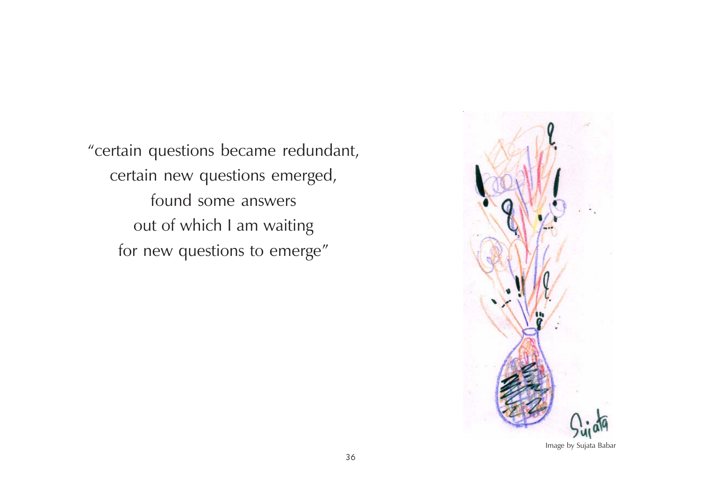"certain questions became redundant, certain new questions emerged, found some answers out of which I am waiting for new questions to emerge"

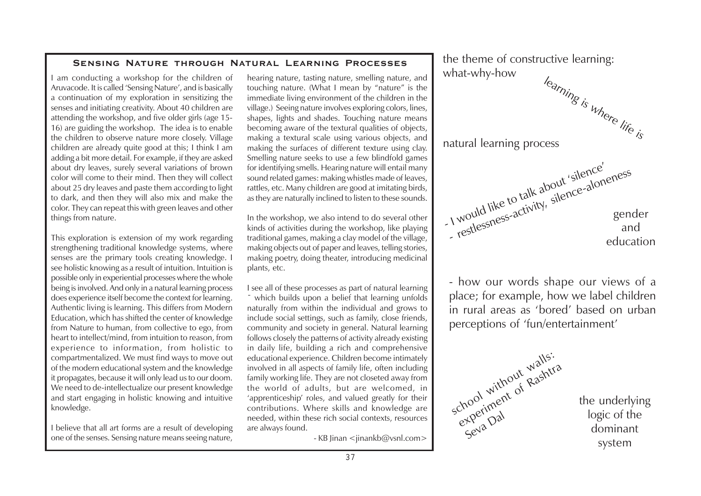#### **Sensing Nature through Natural Learning Processes**

I am conducting a workshop for the children of Aruvacode. It is called 'Sensing Nature', and is basically a continuation of my exploration in sensitizing the senses and initiating creativity. About 40 children are attending the workshop, and five older girls (age 15- 16) are guiding the workshop. The idea is to enable the children to observe nature more closely. Village children are already quite good at this; I think I am adding a bit more detail. For example, if they are asked about dry leaves, surely several variations of brown color will come to their mind. Then they will collect about 25 dry leaves and paste them according to light to dark, and then they will also mix and make the color. They can repeat this with green leaves and other things from nature.

This exploration is extension of my work regarding strengthening traditional knowledge systems, where senses are the primary tools creating knowledge. I see holistic knowing as a result of intuition. Intuition is possible only in experiential processes where the whole being is involved. And only in a natural learning process does experience itself become the context for learning. Authentic living is learning. This differs from Modern Education, which has shifted the center of knowledge from Nature to human, from collective to ego, from heart to intellect/mind, from intuition to reason, from experience to information, from holistic to compartmentalized. We must find ways to move out of the modern educational system and the knowledge it propagates, because it will only lead us to our doom. We need to de-intellectualize our present knowledge and start engaging in holistic knowing and intuitive knowledge.

I believe that all art forms are a result of developing one of the senses. Sensing nature means seeing nature,

hearing nature, tasting nature, smelling nature, and touching nature. (What I mean by "nature" is the immediate living environment of the children in the village.) Seeing nature involves exploring colors, lines, shapes, lights and shades. Touching nature means becoming aware of the textural qualities of objects, making a textural scale using various objects, and making the surfaces of different texture using clay. Smelling nature seeks to use a few blindfold games for identifying smells. Hearing nature will entail many sound related games: making whistles made of leaves, rattles, etc. Many children are good at imitating birds, as they are naturally inclined to listen to these sounds.

In the workshop, we also intend to do several other kinds of activities during the workshop, like playing traditional games, making a clay model of the village, making objects out of paper and leaves, telling stories, making poetry, doing theater, introducing medicinal plants, etc.

I see all of these processes as part of natural learning which builds upon a belief that learning unfolds naturally from within the individual and grows to include social settings, such as family, close friends, community and society in general. Natural learning follows closely the patterns of activity already existing in daily life, building a rich and comprehensive educational experience. Children become intimately involved in all aspects of family life, often including family working life. They are not closeted away from the world of adults, but are welcomed, in 'apprenticeship' roles, and valued greatly for their contributions. Where skills and knowledge are needed, within these rich social contexts, resources are always found.

- KB Jinan <jinankb@vsnl.com>



- how our words shape our views of a place; for example, how we label children in rural areas as 'bored' based on urban perceptions of 'fun/entertainment'



the underlying logic of the dominant system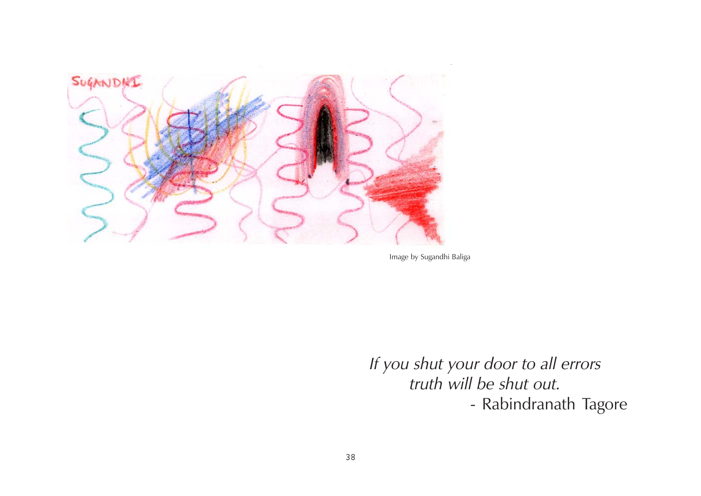

Image by Sugandhi Baliga

If you shut your door to all errors truth will be shut out. - Rabindranath Tagore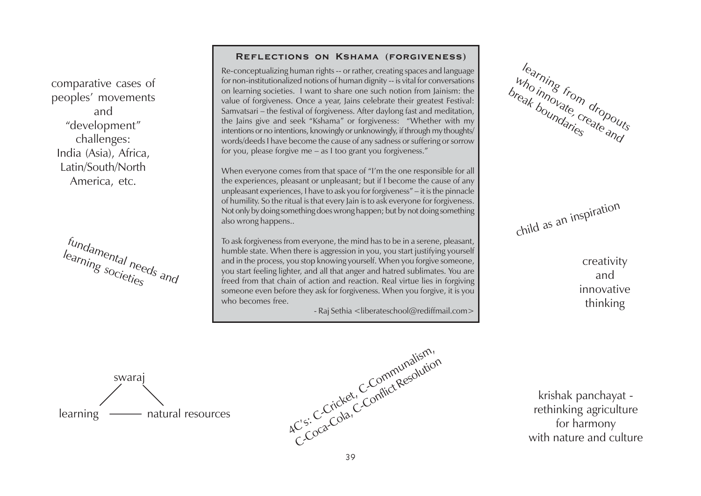comparative cases of peoples' movements and "development" challenges: India (Asia), Africa, Latin/South/North America, etc.

f<sub>undamental needs and<br>learning societies and</sub>

#### **Reflections on Kshama (forgiveness)**

Re-conceptualizing human rights -- or rather, creating spaces and language for non-institutionalized notions of human dignity -- is vital for conversations on learning societies. I want to share one such notion from Jainism: the value of forgiveness. Once a year, Jains celebrate their greatest Festival: Samvatsari – the festival of forgiveness. After daylong fast and meditation, the Jains give and seek "Kshama" or forgiveness: "Whether with my intentions or no intentions, knowingly or unknowingly, if through my thoughts/ words/deeds I have become the cause of any sadness or suffering or sorrow for you, please forgive me – as I too grant you forgiveness."

When everyone comes from that space of "I'm the one responsible for all the experiences, pleasant or unpleasant; but if I become the cause of any unpleasant experiences, I have to ask you for forgiveness" – it is the pinnacle of humility. So the ritual is that every Jain is to ask everyone for forgiveness. Not only by doing something does wrong happen; but by not doing something also wrong happens..

To ask forgiveness from everyone, the mind has to be in a serene, pleasant, humble state. When there is aggression in you, you start justifying yourself and in the process, you stop knowing yourself. When you forgive someone, you start feeling lighter, and all that anger and hatred sublimates. You are freed from that chain of action and reaction. Real virtue lies in forgiving someone even before they ask for forgiveness. When you forgive, it is you who becomes free.

- Raj Sethia <liberateschool@rediffmail.com>

learning from<br>tho innovate of dropouts<br>ak boundarie create who inng from dropout

child as an inspiration

creativity and innovative thinking

swarai learning natural resources



krishak panchayat rethinking agriculture for harmony with nature and culture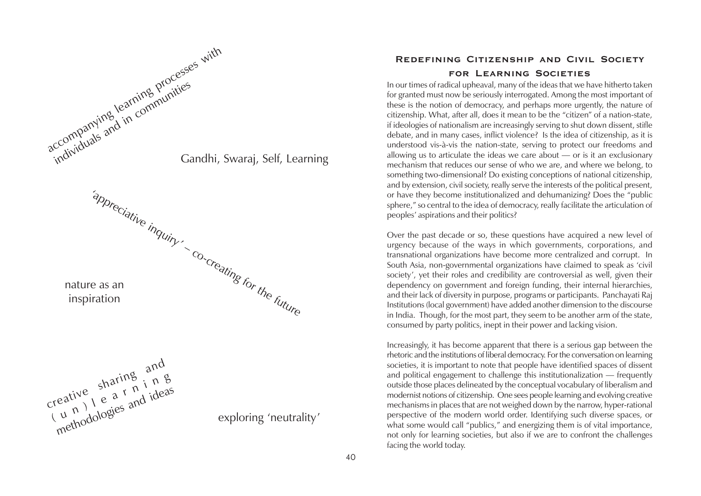

### **Redefining Citizenship and Civil Society for Learning Societies**

In our times of radical upheaval, many of the ideas that we have hitherto taken for granted must now be seriously interrogated. Among the most important of these is the notion of democracy, and perhaps more urgently, the nature of citizenship. What, after all, does it mean to be the "citizen" of a nation-state, if ideologies of nationalism are increasingly serving to shut down dissent, stifle debate, and in many cases, inflict violence? Is the idea of citizenship, as it is understood vis-à-vis the nation-state, serving to protect our freedoms and allowing us to articulate the ideas we care about — or is it an exclusionary mechanism that reduces our sense of who we are, and where we belong, to something two-dimensional? Do existing conceptions of national citizenship, and by extension, civil society, really serve the interests of the political present, or have they become institutionalized and dehumanizing? Does the "public sphere," so central to the idea of democracy, really facilitate the articulation of peoples' aspirations and their politics?

Over the past decade or so, these questions have acquired a new level of urgency because of the ways in which governments, corporations, and transnational organizations have become more centralized and corrupt. In South Asia, non-governmental organizations have claimed to speak as 'civil society', yet their roles and credibility are controversial as well, given their dependency on government and foreign funding, their internal hierarchies, and their lack of diversity in purpose, programs or participants. Panchayati Raj Institutions (local government) have added another dimension to the discourse in India. Though, for the most part, they seem to be another arm of the state, consumed by party politics, inept in their power and lacking vision.

Increasingly, it has become apparent that there is a serious gap between the rhetoric and the institutions of liberal democracy. For the conversation on learning societies, it is important to note that people have identified spaces of dissent and political engagement to challenge this institutionalization — frequently outside those places delineated by the conceptual vocabulary of liberalism and modernist notions of citizenship. One sees people learning and evolving creative mechanisms in places that are not weighed down by the narrow, hyper-rational perspective of the modern world order. Identifying such diverse spaces, or what some would call "publics," and energizing them is of vital importance, not only for learning societies, but also if we are to confront the challenges facing the world today.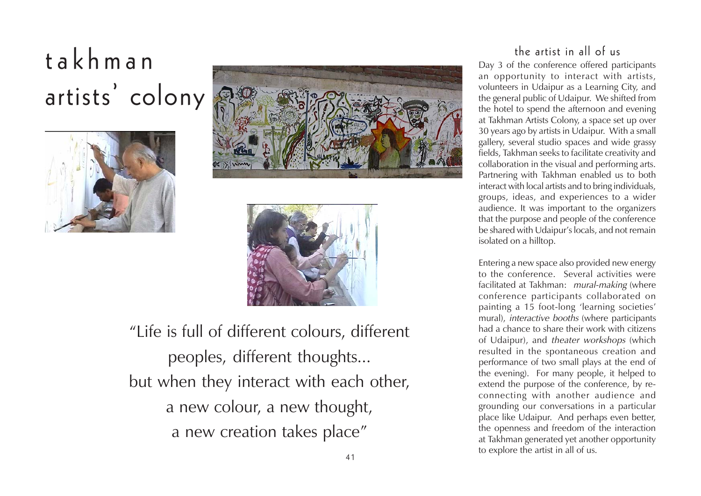# takhman artists' colony







"Life is full of different colours, different peoples, different thoughts... but when they interact with each other, a new colour, a new thought, a new creation takes place"

## the artist in all of us

Day 3 of the conference offered participants an opportunity to interact with artists, volunteers in Udaipur as a Learning City, and the general public of Udaipur. We shifted from the hotel to spend the afternoon and evening at Takhman Artists Colony, a space set up over 30 years ago by artists in Udaipur. With a small gallery, several studio spaces and wide grassy fields, Takhman seeks to facilitate creativity and collaboration in the visual and performing arts. Partnering with Takhman enabled us to both interact with local artists and to bring individuals, groups, ideas, and experiences to a wider audience. It was important to the organizers that the purpose and people of the conference be shared with Udaipur's locals, and not remain isolated on a hilltop.

Entering a new space also provided new energy to the conference. Several activities were facilitated at Takhman: mural-making (where conference participants collaborated on painting a 15 foot-long 'learning societies' mural), interactive booths (where participants had a chance to share their work with citizens of Udaipur), and theater workshops (which resulted in the spontaneous creation and performance of two small plays at the end of the evening). For many people, it helped to extend the purpose of the conference, by reconnecting with another audience and grounding our conversations in a particular place like Udaipur. And perhaps even better, the openness and freedom of the interaction at Takhman generated yet another opportunity to explore the artist in all of us.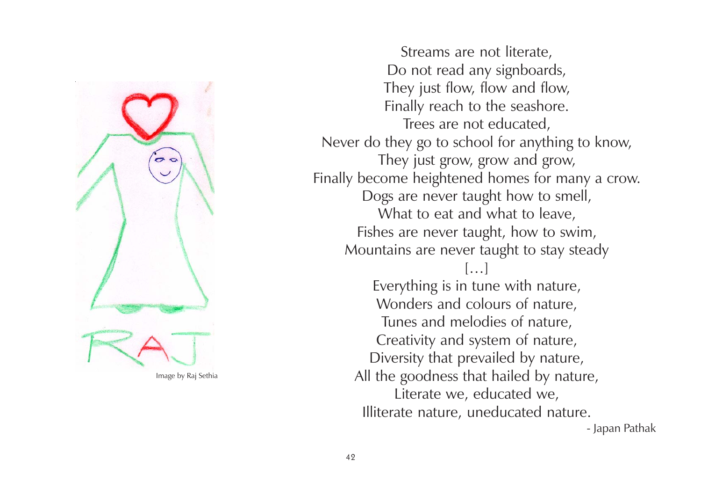

Image by Raj Sethia

Streams are not literate, Do not read any signboards, They just flow, flow and flow, Finally reach to the seashore. Trees are not educated, Never do they go to school for anything to know, They just grow, grow and grow, Finally become heightened homes for many a crow. Dogs are never taught how to smell, What to eat and what to leave, Fishes are never taught, how to swim, Mountains are never taught to stay steady

[…]

Everything is in tune with nature, Wonders and colours of nature, Tunes and melodies of nature, Creativity and system of nature, Diversity that prevailed by nature, All the goodness that hailed by nature, Literate we, educated we, Illiterate nature, uneducated nature.

- Japan Pathak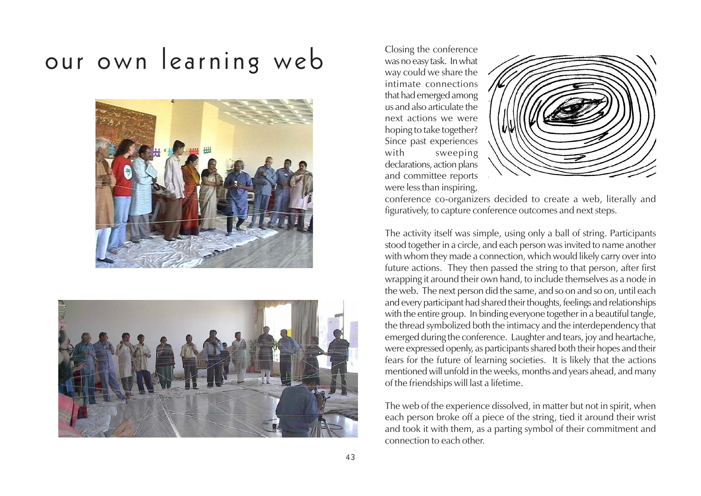# Our own learning web Closing the conference Closing the conference





intimate connections that had emerged among us and also articulate the next actions we were hoping to take together? Since past experiences with sweeping declarations, action plans and committee reports were less than inspiring,



conference co-organizers decided to create a web, literally and figuratively, to capture conference outcomes and next steps.

The activity itself was simple, using only a ball of string. Participants stood together in a circle, and each person was invited to name another with whom they made a connection, which would likely carry over into future actions. They then passed the string to that person, after first wrapping it around their own hand, to include themselves as a node in the web. The next person did the same, and so on and so on, until each and every participant had shared their thoughts, feelings and relationships with the entire group. In binding everyone together in a beautiful tangle, the thread symbolized both the intimacy and the interdependency that emerged during the conference. Laughter and tears, joy and heartache, were expressed openly, as participants shared both their hopes and their fears for the future of learning societies. It is likely that the actions mentioned will unfold in the weeks, months and years ahead, and many of the friendships will last a lifetime.

The web of the experience dissolved, in matter but not in spirit, when each person broke off a piece of the string, tied it around their wrist and took it with them, as a parting symbol of their commitment and connection to each other.